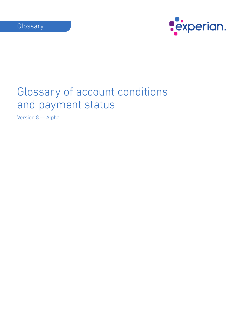

Version 8 — Alpha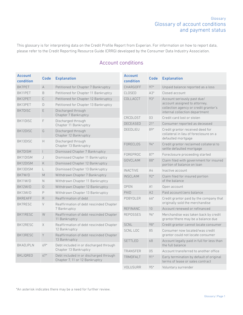This glossary is for interpreting data on the Credit Profile Report from Experian. For information on how to report data, please refer to the Credit Reporting Resource Guide (CRRG) developed by the Consumer Data Industry Association.

# Account conditions

| <b>Account</b><br>condition | <b>Code</b>              | <b>Explanation</b>                                       | <b>Account</b><br>condition | <b>Code</b>    | <b>Explanation</b>                                                                               |
|-----------------------------|--------------------------|----------------------------------------------------------|-----------------------------|----------------|--------------------------------------------------------------------------------------------------|
| BK7PET                      | $\forall$                | Petitioned for Chapter 7 Bankruptcy                      | CHARGOFF                    | $97*$          | Unpaid balance reported as a loss                                                                |
| BK11PET                     | B                        | Petitioned for Chapter 11 Bankruptcy                     | CLOSED                      | $A3*$          | Closed account                                                                                   |
| BK12PET                     | $\mathbb C$              | Petitioned for Chapter 12 Bankruptcy                     | COLLACCT                    | 93*            | Account seriously past due/                                                                      |
| BK13PET                     | D                        | Petitioned for Chapter 13 Bankruptcy                     |                             |                | account assigned to attorney,                                                                    |
| BK7DISC                     | E                        | Discharged through<br>Chapter 7 Bankruptcy               |                             |                | collection agency or credit grantor's<br>internal collection department                          |
| BK11DISC                    | F                        | Discharged through                                       | CRCDLOST                    | 03             | Credit card lost or stolen                                                                       |
|                             |                          | Chapter 11 Bankruptcy                                    | <b>DECEASED</b>             | $21*$          | Consumer reported as deceased                                                                    |
| BK12DISC                    | G                        | Discharged through<br>Chapter 12 Bankruptcy              | DEEDLIEU                    | 89*            | Credit grantor received deed for<br>collateral in lieu of foreclosure on a<br>defaulted mortgage |
| BK13DISC                    | H                        | Discharged through                                       | <b>FORECLOS</b>             | $94*$          | Credit grantor reclaimed collateral to                                                           |
|                             |                          | Chapter 13 Bankruptcy                                    |                             |                | settle defaulted mortgage                                                                        |
| BK7DISM                     | $\overline{\phantom{a}}$ | Dismissed Chapter 7 Bankruptcy                           | FOREPROC                    | $87*$          | Foreclosure proceeding started                                                                   |
| BK11DISM                    | J                        | Dismissed Chapter 11 Bankruptcy                          | <b>GOVCLAIM</b>             | 88*            | Claim filed with government for insured                                                          |
| BK12DISM                    | K                        | Dismissed Chapter 12 Bankruptcy                          |                             |                | portion of balance on loan                                                                       |
| BK13DISM                    | L                        | Dismissed Chapter 13 Bankruptcy                          | <b>INACTIVE</b>             | A <sub>4</sub> | Inactive account                                                                                 |
| BK7W/D                      | M                        | Withdrawn Chapter 7 Bankruptcy                           | <b>INSCLAIM</b>             | $92*$          | Claim filed for insured portion                                                                  |
| BK11W/D                     | $\mathbb N$              | Withdrawn Chapter 11 Bankruptcy                          |                             |                | of the balance                                                                                   |
| BK12W/D                     | $\cup$                   | Withdrawn Chapter 12 Bankruptcy                          | <b>OPEN</b>                 | A1             | Open account                                                                                     |
| BK13W/D                     | P                        | Withdrawn Chapter 13 Bankruptcy                          | PAID                        | A2             | Paid account/zero balance                                                                        |
| <b>BKREAFF</b>              | R                        | Reaffirmation of debt                                    | PDBYDLER                    | 66*            | Credit grantor paid by the company that<br>originally sold the merchandise                       |
| BK7RESC                     | $\vee$                   | Reaffirmation of debt rescinded Chapter<br>7 Bankruptcy  | <b>REFINANC</b>             | 10             | Account renewed or refinanced                                                                    |
| BK11RESC                    | W                        | Reaffirmation of debt rescinded Chapter                  | <b>REPOSSES</b>             | 96*            | Merchandise was taken back by credit                                                             |
|                             |                          | 11 Bankruptcy                                            |                             |                | grantor/there may be a balance due                                                               |
| BK12RESC                    | $\times$                 | Reaffirmation of debt rescinded Chapter                  | <b>SCNL</b>                 | 98*            | Credit grantor cannot locate consumer                                                            |
|                             |                          | 12 Bankruptcy                                            | SCNL LOC                    | 85             | Consumer now located/was credit                                                                  |
| BK13RESC                    | Y                        | Reaffirmation of debt rescinded Chapter<br>13 Bankruptcy |                             |                | grantor could not locate consumer                                                                |
| BKADJPLN                    | 69*                      | Debt included in or discharged through                   | <b>SETTLED</b>              | 68             | Account legally paid in full for less than<br>the full balance                                   |
|                             |                          | Chapter 13 Bankruptcy                                    | <b>TRANSFER</b>             | 05             | Account transferred to another office                                                            |
| <b>BKLIQREO</b>             | $67*$                    | Debt included in or discharged through                   | TRMDFALT                    | $91*$          | Early termination by default of original                                                         |
|                             |                          | Chapter 7, 11 or 12 Bankruptcy                           |                             |                | terms of lease or sales contract                                                                 |
|                             |                          |                                                          | <b>VOLUSURR</b>             | $95*$          | Voluntary surrender                                                                              |

\*An asterisk indicates there may be a need for further review.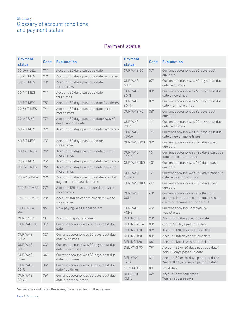# Payment status

| <b>Payment</b><br><b>status</b> | Code  | <b>Explanation</b>                                                  | <b>Payment</b><br><b>status</b> | Code        | <b>Explanation</b>                                                                                          |
|---------------------------------|-------|---------------------------------------------------------------------|---------------------------------|-------------|-------------------------------------------------------------------------------------------------------------|
| 30 DAY DEL                      | $71*$ | Account 30 days past due date                                       | CUR WAS 60                      | $37*$       | Current account/Was 60 days past                                                                            |
| <b>30 2 TIMES</b>               | $72*$ | Account 30 days past due date two times                             |                                 |             | due date                                                                                                    |
| <b>30 3 TIMES</b>               | $73*$ | Account 30 days past due date<br>three times                        | <b>CUR WAS</b><br>$60 - 2$      | $07*$       | Current account/Was 60 days past due<br>date two times                                                      |
| <b>30 4 TIMES</b>               | $74*$ | Account 30 days past due date<br>four times                         | <b>CUR WAS</b><br>$60 - 3$      | 08*         | Current account/Was 60 days past due<br>date three times                                                    |
| 30 5 TIMES                      | $75*$ | Account 30 days past due date five times                            | <b>CUR WAS</b><br>$60 - 4 +$    | 09*         | Current account/Was 60 days past due<br>date 4 or more times                                                |
| 30 6+ TIMES                     | $76*$ | Account 30 days past due date six or<br>more times                  | CUR WAS 90                      | $38*$       | Current account/Was 90 days past<br>due date                                                                |
| 30 WAS 60                       | $77*$ | Account 30 days past due date/Was 60<br>days past due date          | <b>CUR WAS</b><br>$90 - 2$      | $14*$       | Current account/Was 90 days past due<br>date two times                                                      |
| <b>60 2 TIMES</b>               | $22*$ | Account 60 days past due date two times                             | <b>CUR WAS</b><br>$90 - 3 +$    | $15*$       | Current account/Was 90 days past due<br>date three or more times                                            |
| 60 3 TIMES                      | $23*$ | Account 60 days past due date<br>three times                        | CUR WAS 120                     | $39*$       | Current account/Was 120 days past<br>due date                                                               |
| 60 4+ TIMES                     | $24*$ | Account 60 days past due date four or<br>more times                 | <b>CUR WAS</b><br>$120 - 2 +$   | $16*$       | Current account/Was 120 days past due<br>date two or more times                                             |
| <b>90 2 TIMES</b>               | $25*$ | Account 90 days past due date two times                             | CUR WAS 150                     | $40*$       | Current account/Was 150 days past                                                                           |
| 90 3+ TIMES                     | $26*$ | Account 90 days past due date three or<br>more times                |                                 |             | due date                                                                                                    |
| 90 WAS 120+                     | $29*$ | Account 90 days past due date/Was 120                               | <b>CUR WAS</b><br>$150 - 2 +$   | $17*$       | Current account/Was 150 days past due<br>date two or more times                                             |
| 120 2+ TIMES                    | $27*$ | days or more past due date<br>Account 120 days past due date two or | CUR WAS 180                     | $41*$       | Current account/Was 180 days past<br>due date                                                               |
| 150 2+ TIMES                    | $28*$ | more times<br>Account 150 days past due date two or<br>more times   | <b>CUR WAS</b><br><b>COLL</b>   | $43*$       | Current account/Was a collection<br>account, insurance claim, government<br>claim or terminated for default |
| COFF NOW<br><b>PAY</b>          | 86*   | Now paying/Was a charge-off                                         | <b>CUR WAS</b><br><b>FORE</b>   | $45*$       | Current account/Foreclosure<br>was started                                                                  |
| <b>CURR ACCT</b>                | 11    | Account in good standing                                            | DELINQ 60                       | 78*         | Account 60 days past due date                                                                               |
| CUR WAS 30                      | $31*$ | Current account/Was 30 days past due                                | DELINQ 90 A                     | $80*$       | ccount 90 days past due date                                                                                |
|                                 |       | date                                                                | DELINQ 120                      | 82*         | Account 120 days past due date                                                                              |
| CUR WAS<br>$30 - 2$             | $32*$ | Current account/Was 30 days past due<br>date two times              | DELINQ 150                      | $83^{\ast}$ | Account 150 days past due date                                                                              |
| <b>CUR WAS</b>                  | $33*$ | Current account/Was 30 days past due                                | DELINQ 180                      | $84*$       | Account 180 days past due date                                                                              |
| $30 - 3$                        |       | date three times                                                    | DEL WAS 90                      | 79*         | Account 30 or 60 days past due date/<br>Was 90 days past due date                                           |
| <b>CUR WAS</b><br>$30 - 4$      | $34*$ | Current account/Was 30 days past due<br>date four times             | DEL WAS<br>$120+$               | $81*$       | Account 30 or 60 days past due date/<br>Was 120 days or more past due date                                  |
| <b>CUR WAS</b><br>$30 - 5$      | $35*$ | Current account/Was 30 days past due<br>date five times             | <b>NO STATUS</b>                | $00\,$      | No status                                                                                                   |
| <b>CUR WAS</b><br>$30 - 6 +$    | $36*$ | Current account/Was 30 days past due<br>date 6 or more times        | <b>REDEEMD</b><br><b>REPO</b>   | $42*$       | Account now redeemed/<br>Was a repossession                                                                 |

\*An asterisk indicates there may be a need for further review.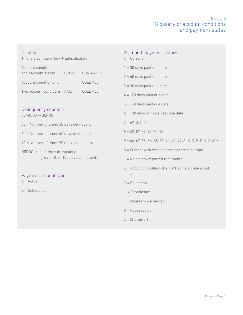| <b>Display</b><br>This is a sample of how trades display: |            | 25-month payment history<br>$C = Current$                           |  |  |
|-----------------------------------------------------------|------------|---------------------------------------------------------------------|--|--|
| Account condition                                         |            | $1 = 30$ days past due date                                         |  |  |
| and payment status<br><b>OPEN</b>                         | CUR WAS 30 | $2 = 60$ days past due date                                         |  |  |
| Account condition only                                    | COLL ACCT  | $3 = 90$ days past due date                                         |  |  |
| Two account conditions PAID                               | COLL ACCT  | $4 = 120$ days past due date                                        |  |  |
|                                                           |            | $5 = 150$ days past due date                                        |  |  |
| Delinquency counters<br>30/60/90 +/DEROG                  |            | $6 = 180$ days or more past due date                                |  |  |
| 30 = Number of times 30 days delinquent                   |            | $7 = 69$ , D, H, Y                                                  |  |  |
| $60$ = Number of times $60$ days delinquent               |            | $8 = 42, 87, 89, 94, 95, 96$                                        |  |  |
| 90 = Number of times 90+ days delinquent                  |            | $9 = 66, 67, 68, 86, 88, 91, 92, 93, 97, A, B, C, E, F, G, V, W, X$ |  |  |
| DEROG = $#$ of times derogatory                           |            | $0 =$ Current with zero balance reported on tape                    |  |  |
| (greater than 180 days delinquent)                        |            | $-$ = No history reported that month                                |  |  |
| Payment amount types                                      |            | $B =$ Account condition change/Payment code is not<br>applicable    |  |  |
| $A = Actual$                                              |            | $G =$ Collection                                                    |  |  |
| $S = S$ cheduled                                          |            | $H =$ Foreclosure                                                   |  |  |
|                                                           |            | J = Voluntary surrender                                             |  |  |
|                                                           |            | $K = Repossession$                                                  |  |  |

L = Charge-off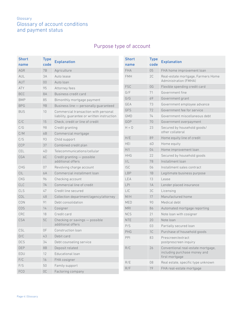# Purpose type of account

| <b>Short</b><br>name | <b>Type</b><br>code   | <b>Explanation</b>                                                                  | <b>Short</b><br>name | <b>Type</b><br>code | <b>Explanation</b>                                          |
|----------------------|-----------------------|-------------------------------------------------------------------------------------|----------------------|---------------------|-------------------------------------------------------------|
| AGR                  | <b>7B</b>             | Agriculture                                                                         | <b>FHA</b>           | 05                  | FHA home improvement loan                                   |
| AUL<br>AUT           | 3A<br>00 <sup>o</sup> | Auto lease                                                                          | <b>FMH</b>           | 2C                  | Real-estate mortgage, Farmers Home<br>Administration (FMHA) |
| <b>ATY</b>           | 95                    | Auto loan                                                                           | <b>FSC</b>           | 0G                  | Flexible spending credit card                               |
|                      |                       | Attorney fees<br>Business credit card                                               | G/F                  | 71                  | Government fine                                             |
| <b>BCC</b>           | <b>8A</b>             |                                                                                     | G/G                  | 69                  | Government grant                                            |
| <b>BMP</b>           | 85                    | Bimonthly mortgage payment                                                          | GEA                  | 73                  | Government employee advance                                 |
| <b>BPG</b>           | <b>9B</b>             | Business line - personally guaranteed                                               | <b>GFS</b>           | 72                  | Government fee for service                                  |
| <b>BUS</b>           | 10                    | Commercial transaction with personal<br>liability, guarantee or written instruction | <b>GMD</b>           | 74                  | Government miscellaneous debt                               |
| C/C                  | 15                    | Check, credit or line of credit                                                     | <b>GOP</b>           | 70                  | Government overpayment                                      |
| C/G                  | 98                    | Credit granting                                                                     | $H + 0$              | 23                  | Secured by household goods/                                 |
| C/M                  | 6B                    | Commercial mortgage                                                                 |                      |                     | other collateral                                            |
| C/S                  | 93                    | Child support                                                                       | H/E                  | 89                  | Home equity line of credit                                  |
| CCP                  | 37                    | Combined credit plan                                                                | <b>HEI</b>           | 6D                  | Home equity                                                 |
| <b>CEL</b>           | 4D                    | Telecommunications/cellular                                                         | H/I                  | 04                  | Home improvement loan                                       |
| <b>CGA</b>           | 6C                    | Credit granting - possible                                                          | <b>HHG</b>           | 22                  | Secured by household goods                                  |
|                      |                       | additional offers                                                                   | $\mid/\!\!\mid_-$    | 78                  | Installment loan                                            |
| <b>CHG</b>           | 07                    | Revolving charge account                                                            | <b>ISC</b>           | 06                  | Installment sales contract                                  |
| CIL                  | 6A                    | Commercial installment loan                                                         | LBP                  | 1B                  | Legitimate business purpose                                 |
| <b>CKG</b>           | 96                    | Checking account                                                                    | LEA                  | 13                  | Lease                                                       |
| <b>CLC</b>           | 7A                    | Commercial line of credit                                                           | LPI                  | 1A                  | Lender placed insurance                                     |
| CLS                  | 47                    | Credit line secured                                                                 | LIC                  | 3C                  | Licensing                                                   |
| COL                  | 48                    | Collection department/agency/attorney                                               | M/H                  | 17                  | Manufactured home                                           |
| CON                  | 91                    | Debt consolidation                                                                  | MED                  | 90                  | Medical debt                                                |
| <b>COS</b>           | 14                    | Cosigner                                                                            | <b>MRI</b>           | 86                  | Automated mortgage reporting                                |
| <b>CRC</b>           | 18                    | Credit card                                                                         | <b>NCS</b>           | 21                  | Note loan with cosigner                                     |
| <b>CSA</b>           | 5C                    | Checking or savings - possible                                                      | <b>NTE</b>           | 20                  | Note loan                                                   |
|                      |                       | additional offers                                                                   | P/S                  | 03                  | Partially secured loan                                      |
| CSL                  | 0F                    | Construction loan                                                                   | PHG                  | 1C                  | Purchase of household goods                                 |
| D/C                  | 43                    | Debit card                                                                          | PPI                  | 83                  | Prescreen/extract                                           |
| <b>DCS</b>           | 34                    | Debt counseling service                                                             |                      |                     | postprescreen inquiry                                       |
| <b>DEP</b>           | 8B                    | Deposit related                                                                     | R/C                  | 26                  | Conventional real-estate mortgage,                          |
| EDU                  | 12                    | Educational loan                                                                    |                      |                     | including purchase money and<br>first mortgage              |
| F/C                  | 16                    | FHA cosigner                                                                        | R/E                  | 08                  | Real estate, specific type unknown                          |
| F/S                  | 50                    | Family support                                                                      | R/F                  | 19                  | FHA real-estate mortgage                                    |
| <b>FCO</b>           | OC                    | Factoring company                                                                   |                      |                     |                                                             |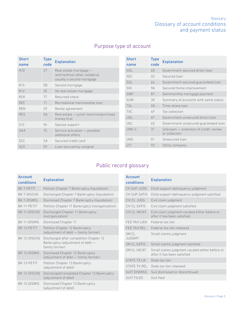# Purpose type of account

| <b>Short</b><br>name | <b>Type</b><br>code | <b>Explanation</b>                                          | <b>Short</b><br>name | <b>Type</b><br>code | <b>Explanation</b>                                     |
|----------------------|---------------------|-------------------------------------------------------------|----------------------|---------------------|--------------------------------------------------------|
| R/O                  | 27                  | Real-estate mortgage -                                      | <b>SDL</b>           | 68                  | Government-secured direct loan                         |
|                      |                     | with/without other collateral,<br>usually a second mortgage | <b>SEC</b>           | 02                  | Secured loan                                           |
| R/S                  | 5B                  |                                                             | <b>SGL</b>           | 66                  | Government-secured quaranteed loan                     |
|                      |                     | Second mortgage                                             | <b>SHI</b>           | <b>9A</b>           | Secured home improvement                               |
| R/V                  | 25                  | VA real-estate mortgage                                     | <b>SMP</b>           | 87                  | Semimonthly mortgage payment                           |
| <b>RCK</b>           | 77                  | Returned check                                              | <b>SUM</b>           | 30                  | Summary of accounts with same status                   |
| <b>REC</b>           | 11                  | Recreational merchandise loan                               | <b>TSL</b>           | 0A                  | Time-share loan                                        |
| <b>REN</b>           | 29                  | Rental agreement                                            | <b>TXC</b>           | 4F                  | Tax collection                                         |
| <b>RES</b>           | 5A                  | Real estate - junior liens/nonpurchase<br>money first       | <b>UDL</b>           | 67                  | Government-unsecured direct loan                       |
| S/S                  | 94                  | Spouse support                                              | UGL                  | 65                  | Government-unsecured quaranteed loan                   |
| <b>SAA</b>           | 7C                  | Service activation - possible<br>additional offers          | UNK U                | 31                  | Unknown - extension of credit, review<br>or collection |
| <b>SCC</b>           | 2A                  | Secured credit card                                         | <b>UNS</b>           | 01                  | Unsecured loan                                         |
| SC <sub>0</sub>      | 09                  | Loan secured by cosigner                                    | UTI                  | 92                  | Utility company                                        |
|                      |                     |                                                             |                      |                     |                                                        |

# Public record glossary

| <b>Account</b><br>conditions | <b>Explanation</b>                                                                           |
|------------------------------|----------------------------------------------------------------------------------------------|
| BK 7-PETIT                   | Petition Chapter 7 Bankruptcy (liquidation)                                                  |
| <b>BK 7-DISCHG</b>           | Discharged Chapter 7 Bankruptcy (liquidation)                                                |
| BK 7-DISMIS                  | Dismissed Chapter 7 Bankruptcy (liquidation)                                                 |
| <b>RK 11-PFTIT</b>           | Petition Chapter 11 Bankruptcy (reorganization)                                              |
| BK 11-DISCHG                 | Discharged Chapter 11 Bankruptcy<br>(reorganization)                                         |
| BK 11-DISMIS                 | Dismissed Chapter 11                                                                         |
| BK 12-PETIT                  | Petition Chapter 12 Bankruptcy<br>(adjustment of debt - family farmer)                       |
| BK 12-DISCHG                 | Discharged after completion Chapter 12<br>Bankruptcy (adjustment of debt -<br>family farmer) |
| BK 12-DISMIS                 | Dismissed Chapter 12 Bankruptcy<br>(adjustment of debt - family farmer)                      |
| BK 13-PETIT                  | Petition Chapter 13 Bankruptcy<br>(adjustment of debt)                                       |
| BK 13-DISCHG                 | Discharged/completed Chapter 13 Bankruptcy<br>(adjustment of debt)                           |
| BK 13-DISMIS                 | Dismissed Chapter 13 Bankruptcy<br>(adjustment of debt)                                      |

| <b>Account</b>         | <b>Explanation</b>                                                            |  |  |  |  |
|------------------------|-------------------------------------------------------------------------------|--|--|--|--|
| conditions             |                                                                               |  |  |  |  |
| CH SUP JUDG            | Child support delinguency judgment                                            |  |  |  |  |
| CH SUP SATIS           | Child support delinquency judgment satisfied                                  |  |  |  |  |
| CIV CL JUDG            | Civil claim judgment                                                          |  |  |  |  |
| CIV CL SATIS           | Civil claim judgment satisfied                                                |  |  |  |  |
| CIV CL VACAT           | Civil claim judgment vacated either before or<br>after it has been satisfied  |  |  |  |  |
| FED TAX LIEN           | Federal tax lien                                                              |  |  |  |  |
| FED TAX REL            | Federal tax lien released                                                     |  |  |  |  |
| SM CL<br><b>JUDGMT</b> | Small claims judgment                                                         |  |  |  |  |
| <b>SM CL SATIS</b>     | Small claims judgment satisfied                                               |  |  |  |  |
| SM CL VACAT            | Small claims judgment vacated either before or<br>after it has been satisfied |  |  |  |  |
| <b>STATE TX LN</b>     | State tax lien                                                                |  |  |  |  |
| STATE TX REL           | State tax lien released                                                       |  |  |  |  |
| <b>SUIT DISMISS</b>    | Suit dismissed or discontinued                                                |  |  |  |  |
| <b>SUIT FILED</b>      | Suit filed                                                                    |  |  |  |  |
|                        |                                                                               |  |  |  |  |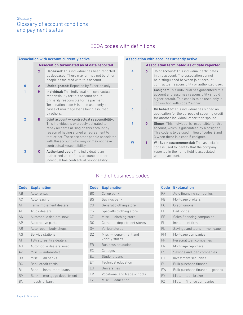# ECOA codes with definitions

|                         |              | <b>Association with account currently active</b>                                                                                                                                                                                                                                                               |
|-------------------------|--------------|----------------------------------------------------------------------------------------------------------------------------------------------------------------------------------------------------------------------------------------------------------------------------------------------------------------|
|                         |              | Association terminated as of date reported                                                                                                                                                                                                                                                                     |
|                         | X            | <b>Deceased:</b> This individual has been reported<br>as deceased. There may or may not be other<br>people associated with this account.                                                                                                                                                                       |
| $\mathbf{0}$            | $\mathsf{A}$ | <b>Undesignated:</b> Reported by Experian only.                                                                                                                                                                                                                                                                |
| 1                       | н            | <b>Individual:</b> This individual has contractual<br>responsibility for this account and is<br>primarily responsible for its payment.<br>Termination code H is to be used only in<br>cases of mortgage loans being assumed<br>by others.                                                                      |
| $\overline{\mathbf{z}}$ | B            | Joint account - contractual responsibility:<br>This individual is expressly obligated to<br>repay all debts arising on this account by<br>reason of having signed an agreement to<br>that effect. There are other people associated<br>with thisaccount who may or may not have<br>contractual responsibility. |
| 3                       | Ċ            | Authorized user: This individual is an<br>authorized user of this account; another<br>individual has contractual responsibility.                                                                                                                                                                               |

#### Association with account currently active

|   |   | Association terminated as of date reported                                                                                                                                                    |
|---|---|-----------------------------------------------------------------------------------------------------------------------------------------------------------------------------------------------|
| 4 | n | <b>Joint account:</b> This individual participates<br>in this account. The association cannot<br>be distinguished between joint account -<br>contractual responsibility or authorized user.   |
| 5 | Е | <b>Cosigner:</b> This individual has guaranteed this<br>account and assumes responsibility should<br>signer default. This code is to be used only in<br>conjunction with code 7 signer.       |
| 6 | F | <b>On behalf of:</b> This individual has signed an<br>application for the purpose of securing credit<br>for another individual, other than spouse.                                            |
| 7 | G | <b>Signer:</b> This individual is responsible for this<br>account, which is quaranteed by a cosigner.<br>This code is to be used in lieu of codes 2 and<br>3 when there is a code 5 cosigner. |
| W |   | WIBusiness/commercial: This association<br>code is used to identify that the company<br>reported in the name field is associated<br>with the account.                                         |

## Code Explanation AB Auto rental AC Auto leasing AF Farm implement dealers AL Truck dealers AN Automobile dealers, new AP Automotive parts AR Auto repair, body shops AS Service stations AT TBA stores, tire dealers AU Automobile dealers, used AZ Misc. — automotive BB Misc. — all banks BC Bank credit cards BI Bank — installment loans BM Bank — mortgage department BN Industrial bank

# Kind of business codes

| Code      | <b>Explanation</b>                       |
|-----------|------------------------------------------|
| B0        | Co-op bank                               |
| <b>BS</b> | Savings bank                             |
| CG        | General clothing store                   |
| CS        | Specialty clothing store                 |
| CZ        | Misc. - clothing store                   |
| DC        | Complete department stores               |
| <b>DV</b> | Variety stores                           |
| DZ        | Misc. — department and<br>variety stores |
| EΒ        | <b>Business education</b>                |
| EC        | Colleges                                 |
| EL        | Student loans                            |
| ET        | Technical education                      |
| EU        | Universities                             |
| EV        | Vocational and trade schools             |
| EZ        | Misc. - education                        |
|           |                                          |

| Code      | <b>Explanation</b>              |
|-----------|---------------------------------|
| FA        | Auto financing companies        |
| FB        | Mortgage brokers                |
| FC        | Credit unions                   |
| FD        | Bail bonds                      |
| FF        | Sales financing companies       |
| FI        | Investment firms                |
| FL        | Savings and loans — mortgage    |
| <b>FM</b> | Mortgage companies              |
| <b>FP</b> | Personal loan companies         |
| <b>FR</b> | Mortgage reporters              |
| FS        | Savings and loan companies      |
| FT.       | Investment securities           |
| FU        | Bulk purchase finance           |
| <b>FW</b> | Bulk purchase finance - general |
| <b>FY</b> | Misc. - loan broker             |
| FZ        | Misc. — finance companies       |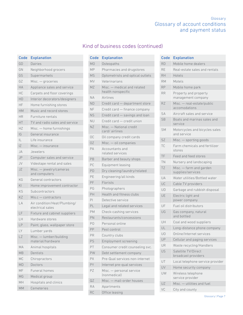# Kind of business codes (continued)

| <b>Code</b> | <b>Explanation</b>                               |
|-------------|--------------------------------------------------|
| GD          | Dairies                                          |
| GN          | Neighborhood grocers                             |
| GS          | Supermarkets                                     |
| GZ          | Misc. - groceries                                |
| <b>HA</b>   | Appliance sales and service                      |
| НC          | Carpets and floor coverings                      |
| HD          | Interior decorators/designers                    |
| HF          | Home furnishing stores                           |
| <b>HM</b>   | Music and record stores                          |
| НR          | Furniture rentals                                |
| HT          | TV and radio sales and service                   |
| HZ          | Misc. — home furnishings                         |
| IG          | General insurance                                |
| IL          | Life insurance                                   |
| Z           | Misc. - insurance                                |
| JA          | Jewelers                                         |
| JP          | Computer sales and service                       |
| JV          | Videotape rental and sales                       |
| JZ          | Misc. - jewelry/cameras<br>and computers         |
| KG          | General contractors                              |
| KI          | Home improvement contractor                      |
| KS          | Subcontractors                                   |
| KZ          | $Miss. c$ $-$ contractors                        |
| LA          | Air condition/Heat/Plumbing/<br>electrical sales |
| LF          | Fixture and cabinet suppliers                    |
| LH          | Hardware stores                                  |
| LP          | Paint, glass, wallpaper store                    |
| LY          | Lumber yards                                     |
| $L\bar{Z}$  | Misc. - lumber/building<br>material/hardware     |
| МA          | Animal hospitals                                 |
| <b>MB</b>   | Dentists                                         |
| <b>MC</b>   | Chiropractors                                    |
| <b>MD</b>   | Doctors                                          |
| МF          | Funeral homes                                    |
| МG          | Medical group                                    |
| МH          | Hospitals and clinics                            |
| <b>MM</b>   | Cemeteries                                       |

| Code           | <b>Explanation</b>                                |
|----------------|---------------------------------------------------|
| M <sub>O</sub> | Osteopaths                                        |
| <b>MP</b>      | Pharmacies and drugstores                         |
| <b>MS</b>      | Optometrists and optical outlets                  |
| <b>MV</b>      | Veterinarians                                     |
| <b>MZ</b>      | Misc. — medical and related<br>health nonspecific |
| <b>NA</b>      | Airlines                                          |
| <b>ND</b>      | Credit card - department store                    |
| <b>NF</b>      | Credit card - finance company                     |
| <b>NS</b>      | Credit card - savings and loan                    |
| <b>NU</b>      | Credit card - credit union                        |
| <b>NZ</b>      | Misc. - National credit<br>card/airlines          |
| ОC             | Oil company credit cards                          |
| OΖ             | Misc. - oil companies                             |
| PA             | Accountants and<br>related services               |
| PB             | Barber and beauty shops                           |
| PC.            | Equipment leasing                                 |
| PD             | Dry cleaning/laundry/related                      |
| РE             | Engineering/all kinds                             |
| РF             | Florists                                          |
| PG             | Photographers                                     |
| PH             | Health and fitness clubs                          |
| PI             | Detective service                                 |
| PL             | Legal and related services                        |
| <b>PM</b>      | Check-cashing services                            |
| PN             | Restaurants/concessions                           |
| PO             | Personal online                                   |
| PP             | Pest control                                      |
| PR             | Country clubs                                     |
| PS             | Employment screening                              |
| PT             | Consumer credit counseling svc.                   |
| PW             | Debt settlement company                           |
| PX             | Pre-Qual services non-internet                    |
| PY             | Internet pre-qual services                        |
| PZ             | Misc. — personal service<br>(nonmedical)          |
| QZ             | Misc. - mail-order houses                         |
| <b>RA</b>      | Apartments                                        |
| RC             | Office leasing                                    |

| Code           | <b>Explanation</b>                            |
|----------------|-----------------------------------------------|
| <b>RD</b>      | Mobile home dealers                           |
| RF             | Real-estate sales and rentals                 |
| <b>RH</b>      | Hotels                                        |
| <b>RM</b>      | Motels                                        |
| <b>RP</b>      | Mobile home park                              |
| <b>RR</b>      | Property and property<br>management company   |
| <b>RZ</b>      | Misc. - real-estate/public<br>accomodations   |
| SA             | Aircraft sales and service                    |
| <b>SB</b>      | Boats and marinas sales and<br>service        |
| <b>SM</b>      | Motorcycles and bicycles sales<br>and service |
| SZ             | Misc. — sporting goods                        |
| <b>TC</b>      | Farm chemicals and fertilizer<br>stores       |
| TF             | Feed and feed stores                          |
| TN             | Nursery and landscaping                       |
| <b>TZ</b>      | Misc. - farm and garden<br>supplies/services  |
| UA             | Water utilities/Bottled water                 |
| UC             | Cable TV providers                            |
| UD             | Garbage and rubbish disposal                  |
| UE             | Electric light and<br>power company           |
| UF             | Fuel oil distributors                         |
| UG             | Gas company, natural<br>and bottled           |
| UH             | Coal and wood suppliers                       |
| UL             | Long-distance phone company                   |
| U <sub>O</sub> | Online/Internet services                      |
| UP             | Cellular and paging services                  |
| UR             | Waste recycling/Handlers                      |
| US             | Satellite TV/Direct<br>broadcast providers    |
| UT             | Local telephone service provider              |
| UV             | Home security company                         |
| UW             | Wireless telephone<br>service provider        |
| UZ             | Misc. - utilities and fuel                    |
| VC             | City and county                               |
|                |                                               |

Glossary | Page 7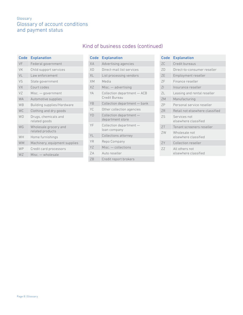| Code                 | <b>Explanation</b>                        |
|----------------------|-------------------------------------------|
| VF                   | Federal government                        |
| VK                   | Child support services                    |
| VL                   | Law enforcement                           |
| VS                   | State government                          |
| <b>VX</b>            | Court codes                               |
| VZ                   | Misc. — government                        |
| <b>WA</b>            | Automotive supplies                       |
| <b>W<sub>B</sub></b> | Building supplies/Hardware                |
| <b>WC</b>            | Clothing and dry goods                    |
| <b>WD</b>            | Drugs, chemicals and<br>related goods     |
| WG                   | Wholesale grocery and<br>related products |
| WH                   | Home furnishings                          |
| <b>WM</b>            | Machinery, equipment supplies             |
| WP                   | Credit card processors                    |
| <b>WZ</b>            | Misc. - wholesale                         |
|                      |                                           |

# Kind of business codes (continued)

| Code      | <b>Explanation</b>                           |
|-----------|----------------------------------------------|
| XА        | Advertising agencies                         |
| XD        | Direct-mail list services                    |
| XL        | List processing vendors                      |
| <b>XM</b> | Media                                        |
| XZ        | $Misc. - adverting$                          |
| YA        | Collection department - ACB<br>Credit Bureau |
| YB        | Collection department - bank                 |
| YC        | Other collection agencies                    |
| YD        | Collection department -<br>department store  |
| YF        | Collection department -<br>loan company      |
| YI        | Collections attorney                         |
| YR        | Repo Company                                 |
| YZ        | Misc. - collections                          |
| 7A        | Auto reseller                                |
| ZB        | Credit report brokers                        |

### Code Explanation ZC Credit bureaus ZD Direct-to-consumer reseller ZE Employment reseller ZF Finance reseller ZI Insurance reseller ZL Leasing and rental reseller ZM Manufacturing ZP Personal service reseller ZR Retail not elsewhere classified ZS Services not elsewhere classified ZT Tenant screeners reseller ZW Wholesale not elsewhere classified ZY Collection reseller ZZ All others not elsewhere classified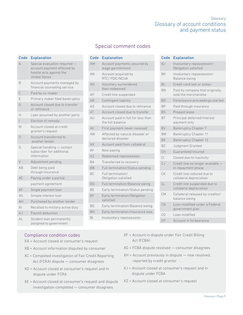| Code         | <b>Explanation</b>                                                                                               |
|--------------|------------------------------------------------------------------------------------------------------------------|
| $\Delta$     | Special evaluation required -<br>account payment affected by<br>hostile acts against the<br><b>United States</b> |
| B            | Account payments managed by<br>financial counseling service                                                      |
| C            | Paid by co-maker                                                                                                 |
| F            | Primary maker filed bankruptcy                                                                                   |
| G            | Account closed due to transfer<br>or refinance                                                                   |
| Н            | Loan assumed by another party                                                                                    |
| L            | Election of remedy                                                                                               |
| M            | Account closed at credit<br>grantor's request                                                                    |
| $\Omega$     | Account transferred to<br>another lender                                                                         |
| S            | Special handling - contact<br>subscriber for additional<br>information                                           |
| $\vee$       | Adjustment pending                                                                                               |
| AB           | Debt being paid<br>through insurance                                                                             |
| <b>AC</b>    | Paying under a partial                                                                                           |
|              | payment agreement                                                                                                |
| AF           | Single payment loan                                                                                              |
| AG           | Simple interest loan                                                                                             |
| AH           | Purchased by another lender                                                                                      |
| $\mathsf{A}$ | Recalled to military active duty                                                                                 |
| $A_J$        | Payroll deduction                                                                                                |
| AL           | Student loan permanently<br>assigned to government                                                               |

# Special comment codes

| <b>Code</b>    | <b>Explanation</b>                                     |
|----------------|--------------------------------------------------------|
| AM             | Account payments assured by<br>wage garnishment        |
| AN             | Account acquired by<br>RTC/FDIC/NCUA                   |
| A <sub>O</sub> | Voluntary surrendered,<br>then redeemed                |
| AP             | Credit line suspended                                  |
| AR             | Contingent liability                                   |
| AS             | Account closed due to refinance                        |
| AT             | Account closed due to transfer                         |
| AU             | Account paid in full for less than<br>the full balance |
| AV             | First payment never received                           |
| AW             | Affected by natural disaster or<br>declared disaster   |
| AX             | Account paid from collateral                           |
| AY             | Now paying                                             |
| AZ             | Redeemed repossession                                  |
| <b>BA</b>      | Transferred to recovery                                |
| <b>BB</b>      | Full termination/Status pending                        |
| BC.            | Full termination/<br>Obligation satisfied              |
| <b>BD</b>      | Full termination/Balance owing                         |
| ВF             | Early termination/Status pending                       |
| <b>BF</b>      | Early termination/Obligation<br>satisfied              |
| ВG             | Early termination/Balance owing                        |
| RН             | Early termination/Insurance loss                       |
| B1             | Involuntary repossession                               |

| Code           | <b>Explanation</b>                                      |
|----------------|---------------------------------------------------------|
| BJ             | Involuntary repossession/<br>Obligation satisfied       |
| BK             | Involuntary repossession/<br>Balance owing              |
| BL             | Credit card lost or stolen                              |
| BN             | Paid by company that originally<br>sold the merchandise |
| B <sub>O</sub> | Foreclosure proceedings started                         |
| <b>BP</b>      | Paid through insurance                                  |
| <b>BS</b>      | Prepaid lease                                           |
| <b>BT</b>      | Principal deferred/interest<br>payment only             |
| BV             | Bankruptcy Chapter 7                                    |
| <b>BW</b>      | Bankruptcy Chapter 11                                   |
| <b>BX</b>      | <b>Bankruptcy Chapter 12</b>                            |
| <b>BZ</b>      | Judgment Granted                                        |
| CH             | Guaranteed/insured                                      |
| $\overline{C}$ | Closed due to inactivity                                |
| CJ             | Credit line no longer available<br>in repayment phase   |
| CK             | Credit line reduced due to<br>collateral depreciation   |
| CL             | Credit line suspended due to<br>collateral depreciation |
| <b>CM</b>      | Collateral released by creditor/<br>balance owing       |
| CN             | Loan modified under a Federal<br>government plan        |
| CO             | Loan modified                                           |
| CP             | Account in forbearance                                  |

### Compliance condition codes

- XA = Account closed at consumer's request
- XB = Account information disputed by consumer
- XC = Completed investigation of Fair Credit Reporting Act (FCRA) dispute — consumer disagrees
- XD = Account closed at consumer's request and in dispute under FCRA
- XE = Account closed at consumer's request and dispute investigation completed — consumer disagrees
- XF = Account in dispute under Fair Credit Billing Act (FCBA)
- XG = FCBA dispute resolved consumer disagrees
- XH = Account previously in dispute now resolved, reported by credit grantor
- XJ = Account closed at consumer's request and in dispute under FCBA
- XZ = Account closed at consumer's request